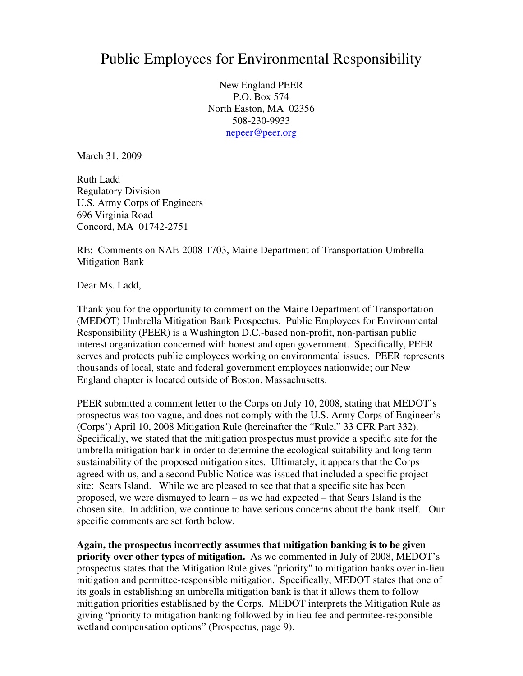## Public Employees for Environmental Responsibility

New England PEER P.O. Box 574 North Easton, MA 02356 508-230-9933 nepeer@peer.org

March 31, 2009

Ruth Ladd Regulatory Division U.S. Army Corps of Engineers 696 Virginia Road Concord, MA 01742-2751

RE: Comments on NAE-2008-1703, Maine Department of Transportation Umbrella Mitigation Bank

Dear Ms. Ladd,

Thank you for the opportunity to comment on the Maine Department of Transportation (MEDOT) Umbrella Mitigation Bank Prospectus. Public Employees for Environmental Responsibility (PEER) is a Washington D.C.-based non-profit, non-partisan public interest organization concerned with honest and open government. Specifically, PEER serves and protects public employees working on environmental issues. PEER represents thousands of local, state and federal government employees nationwide; our New England chapter is located outside of Boston, Massachusetts.

PEER submitted a comment letter to the Corps on July 10, 2008, stating that MEDOT's prospectus was too vague, and does not comply with the U.S. Army Corps of Engineer's (Corps') April 10, 2008 Mitigation Rule (hereinafter the "Rule," 33 CFR Part 332). Specifically, we stated that the mitigation prospectus must provide a specific site for the umbrella mitigation bank in order to determine the ecological suitability and long term sustainability of the proposed mitigation sites. Ultimately, it appears that the Corps agreed with us, and a second Public Notice was issued that included a specific project site: Sears Island. While we are pleased to see that that a specific site has been proposed, we were dismayed to learn – as we had expected – that Sears Island is the chosen site. In addition, we continue to have serious concerns about the bank itself. Our specific comments are set forth below.

**Again, the prospectus incorrectly assumes that mitigation banking is to be given priority over other types of mitigation.** As we commented in July of 2008, MEDOT's prospectus states that the Mitigation Rule gives "priority" to mitigation banks over in-lieu mitigation and permittee-responsible mitigation. Specifically, MEDOT states that one of its goals in establishing an umbrella mitigation bank is that it allows them to follow mitigation priorities established by the Corps. MEDOT interprets the Mitigation Rule as giving "priority to mitigation banking followed by in lieu fee and permitee-responsible wetland compensation options" (Prospectus, page 9).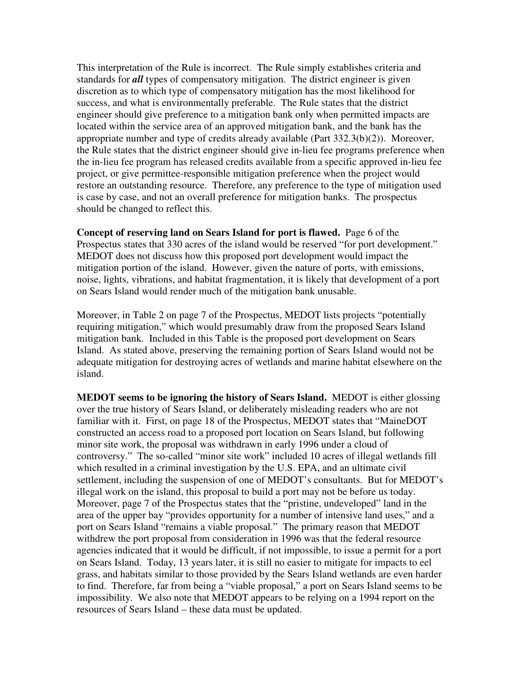This interpretation of the Rule is incorrect. The Rule simply establishes criteria and standards for *all* types of compensatory mitigation. The district engineer is given discretion as to which type of compensatory mitigation has the most likelihood for success, and what is environmentally preferable. The Rule states that the district engineer should give preference to a mitigation bank only when permitted impacts are located within the service area of an approved mitigation bank, and the bank has the appropriate number and type of credits already available (Part 332.3(b)(2)). Moreover, the Rule states that the district engineer should give in-lieu fee programs preference when the in-lieu fee program has released credits available from a specific approved in-lieu fee project, or give permittee-responsible mitigation preference when the project would restore an outstanding resource. Therefore, any preference to the type of mitigation used is case by case, and not an overall preference for mitigation banks. The prospectus should be changed to reflect this.

**Concept of reserving land on Sears Island for port is flawed.** Page 6 of the Prospectus states that 330 acres of the island would be reserved "for port development." MEDOT does not discuss how this proposed port development would impact the mitigation portion of the island. However, given the nature of ports, with emissions, noise, lights, vibrations, and habitat fragmentation, it is likely that development of a port on Sears Island would render much of the mitigation bank unusable.

Moreover, in Table 2 on page 7 of the Prospectus, MEDOT lists projects "potentially requiring mitigation," which would presumably draw from the proposed Sears Island mitigation bank. Included in this Table is the proposed port development on Sears Island. As stated above, preserving the remaining portion of Sears Island would not be adequate mitigation for destroying acres of wetlands and marine habitat elsewhere on the island.

**MEDOT seems to be ignoring the history of Sears Island.** MEDOT is either glossing over the true history of Sears Island, or deliberately misleading readers who are not familiar with it. First, on page 18 of the Prospectus, MEDOT states that "MaineDOT constructed an access road to a proposed port location on Sears Island, but following minor site work, the proposal was withdrawn in early 1996 under a cloud of controversy." The so-called "minor site work" included 10 acres of illegal wetlands fill which resulted in a criminal investigation by the U.S. EPA, and an ultimate civil settlement, including the suspension of one of MEDOT's consultants. But for MEDOT's illegal work on the island, this proposal to build a port may not be before us today. Moreover, page 7 of the Prospectus states that the "pristine, undeveloped" land in the area of the upper bay "provides opportunity for a number of intensive land uses," and a port on Sears Island "remains a viable proposal." The primary reason that MEDOT withdrew the port proposal from consideration in 1996 was that the federal resource agencies indicated that it would be difficult, if not impossible, to issue a permit for a port on Sears Island. Today, 13 years later, it is still no easier to mitigate for impacts to eel grass, and habitats similar to those provided by the Sears Island wetlands are even harder to find. Therefore, far from being a "viable proposal," a port on Sears Island seems to be impossibility. We also note that MEDOT appears to be relying on a 1994 report on the resources of Sears Island – these data must be updated.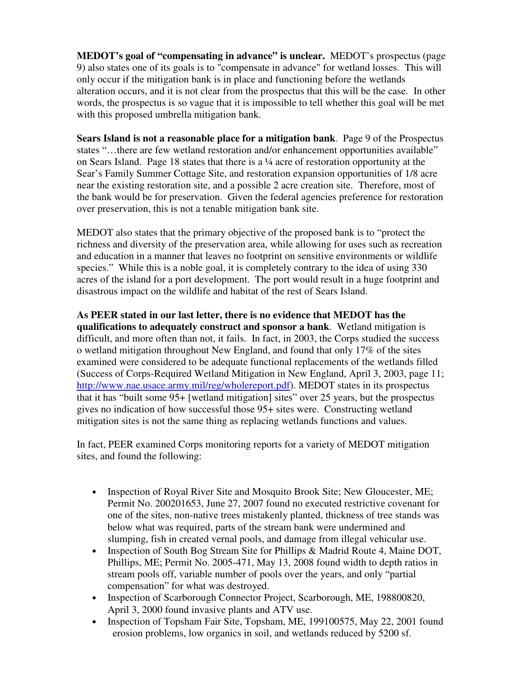**MEDOT's goal of "compensating in advance" is unclear.** MEDOT's prospectus (page 9) also states one of its goals is to "compensate in advance" for wetland losses. This will only occur if the mitigation bank is in place and functioning before the wetlands alteration occurs, and it is not clear from the prospectus that this will be the case. In other words, the prospectus is so vague that it is impossible to tell whether this goal will be met with this proposed umbrella mitigation bank.

**Sears Island is not a reasonable place for a mitigation bank**. Page 9 of the Prospectus states "…there are few wetland restoration and/or enhancement opportunities available" on Sears Island. Page 18 states that there is a ¼ acre of restoration opportunity at the Sear's Family Summer Cottage Site, and restoration expansion opportunities of 1/8 acre near the existing restoration site, and a possible 2 acre creation site. Therefore, most of the bank would be for preservation. Given the federal agencies preference for restoration over preservation, this is not a tenable mitigation bank site.

MEDOT also states that the primary objective of the proposed bank is to "protect the richness and diversity of the preservation area, while allowing for uses such as recreation and education in a manner that leaves no footprint on sensitive environments or wildlife species." While this is a noble goal, it is completely contrary to the idea of using 330 acres of the island for a port development. The port would result in a huge footprint and disastrous impact on the wildlife and habitat of the rest of Sears Island.

**As PEER stated in our last letter, there is no evidence that MEDOT has the qualifications to adequately construct and sponsor a bank**. Wetland mitigation is difficult, and more often than not, it fails. In fact, in 2003, the Corps studied the success o wetland mitigation throughout New England, and found that only 17% of the sites examined were considered to be adequate functional replacements of the wetlands filled (Success of Corps-Required Wetland Mitigation in New England, April 3, 2003, page 11; http://www.nae.usace.army.mil/reg/wholereport.pdf). MEDOT states in its prospectus that it has "built some 95+ [wetland mitigation] sites" over 25 years, but the prospectus gives no indication of how successful those 95+ sites were. Constructing wetland mitigation sites is not the same thing as replacing wetlands functions and values.

In fact, PEER examined Corps monitoring reports for a variety of MEDOT mitigation sites, and found the following:

- Inspection of Royal River Site and Mosquito Brook Site; New Gloucester, ME; Permit No. 200201653, June 27, 2007 found no executed restrictive covenant for one of the sites, non-native trees mistakenly planted, thickness of tree stands was below what was required, parts of the stream bank were undermined and slumping, fish in created vernal pools, and damage from illegal vehicular use.
- Inspection of South Bog Stream Site for Phillips & Madrid Route 4, Maine DOT, Phillips, ME; Permit No. 2005-471, May 13, 2008 found width to depth ratios in stream pools off, variable number of pools over the years, and only "partial compensation" for what was destroyed.
- Inspection of Scarborough Connector Project, Scarborough, ME, 198800820, April 3, 2000 found invasive plants and ATV use.
- Inspection of Topsham Fair Site, Topsham, ME, 199100575, May 22, 2001 found erosion problems, low organics in soil, and wetlands reduced by 5200 sf.